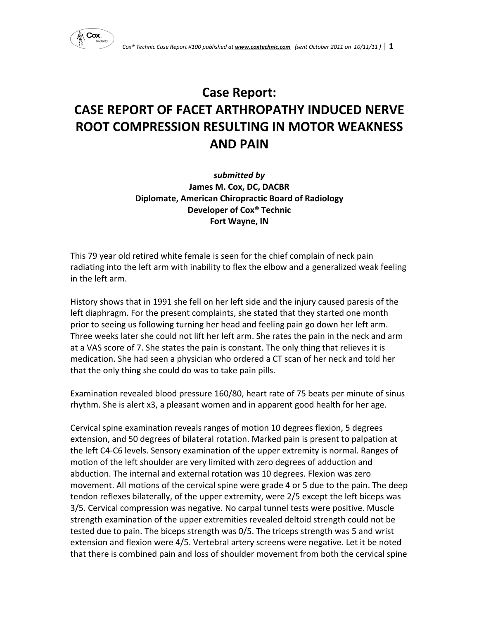

# **Case Report: CASE REPORT OF FACET ARTHROPATHY INDUCED NERVE ROOT COMPRESSION RESULTING IN MOTOR WEAKNESS AND PAIN**

*submitted by* **James M. Cox, DC, DACBR Diplomate, American Chiropractic Board of Radiology Developer of Cox® Technic Fort Wayne, IN**

This 79 year old retired white female is seen for the chief complain of neck pain radiating into the left arm with inability to flex the elbow and a generalized weak feeling in the left arm.

History shows that in 1991 she fell on her left side and the injury caused paresis of the left diaphragm. For the present complaints, she stated that they started one month prior to seeing us following turning her head and feeling pain go down her left arm. Three weeks later she could not lift her left arm. She rates the pain in the neck and arm at a VAS score of 7. She states the pain is constant. The only thing that relieves it is medication. She had seen a physician who ordered a CT scan of her neck and told her that the only thing she could do was to take pain pills.

Examination revealed blood pressure 160/80, heart rate of 75 beats per minute of sinus rhythm. She is alert x3, a pleasant women and in apparent good health for her age.

Cervical spine examination reveals ranges of motion 10 degrees flexion, 5 degrees extension, and 50 degrees of bilateral rotation. Marked pain is present to palpation at the left C4‐C6 levels. Sensory examination of the upper extremity is normal. Ranges of motion of the left shoulder are very limited with zero degrees of adduction and abduction. The internal and external rotation was 10 degrees. Flexion was zero movement. All motions of the cervical spine were grade 4 or 5 due to the pain. The deep tendon reflexes bilaterally, of the upper extremity, were 2/5 except the left biceps was 3/5. Cervical compression was negative. No carpal tunnel tests were positive. Muscle strength examination of the upper extremities revealed deltoid strength could not be tested due to pain. The biceps strength was 0/5. The triceps strength was 5 and wrist extension and flexion were 4/5. Vertebral artery screens were negative. Let it be noted that there is combined pain and loss of shoulder movement from both the cervical spine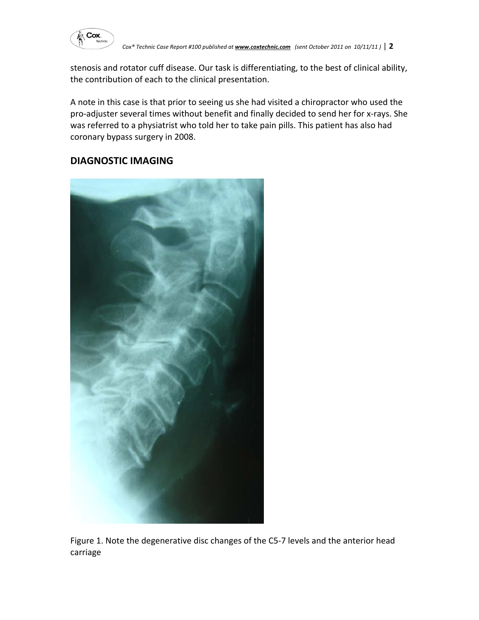

stenosis and rotator cuff disease. Our task is differentiating, to the best of clinical ability, the contribution of each to the clinical presentation.

A note in this case is that prior to seeing us she had visited a chiropractor who used the pro‐adjuster several times without benefit and finally decided to send her for x‐rays. She was referred to a physiatrist who told her to take pain pills. This patient has also had coronary bypass surgery in 2008.

# **DIAGNOSTIC IMAGING**



Figure 1. Note the degenerative disc changes of the C5‐7 levels and the anterior head carriage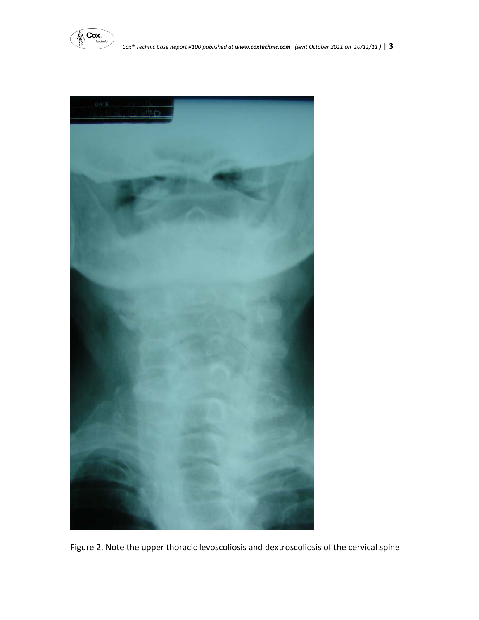



Figure 2. Note the upper thoracic levoscoliosis and dextroscoliosis of the cervical spine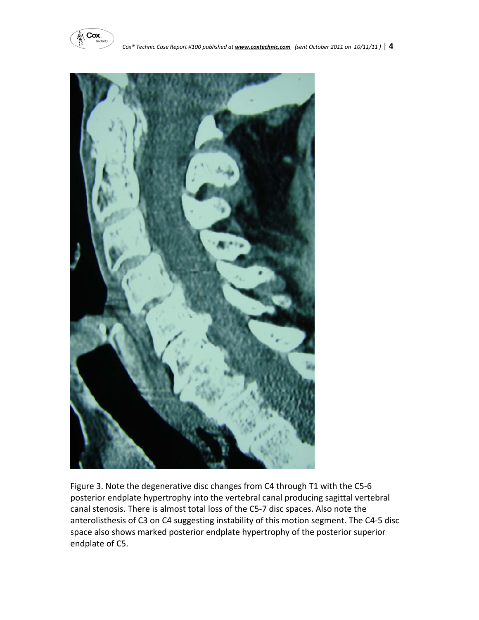



Figure 3. Note the degenerative disc changes from C4 through T1 with the C5‐6 posterior endplate hypertrophy into the vertebral canal producing sagittal vertebral canal stenosis. There is almost total loss of the C5‐7 disc spaces. Also note the anterolisthesis of C3 on C4 suggesting instability of this motion segment. The C4‐5 disc space also shows marked posterior endplate hypertrophy of the posterior superior endplate of C5.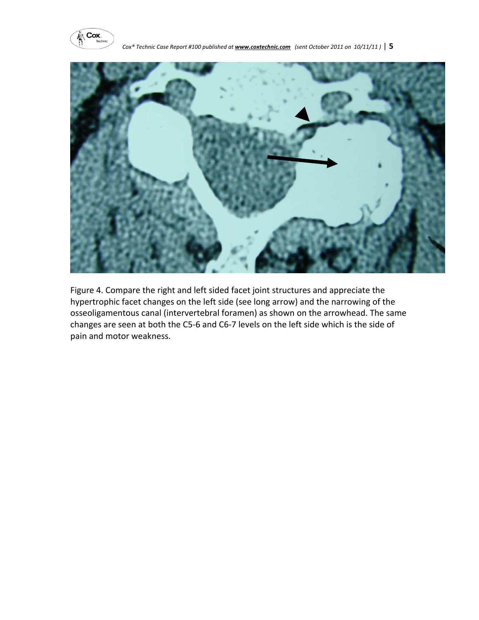



Figure 4. Compare the right and left sided facet joint structures and appreciate the hypertrophic facet changes on the left side (see long arrow) and the narrowing of the osseoligamentous canal (intervertebral foramen) as shown on the arrowhead. The same changes are seen at both the C5‐6 and C6‐7 levels on the left side which is the side of pain and motor weakness.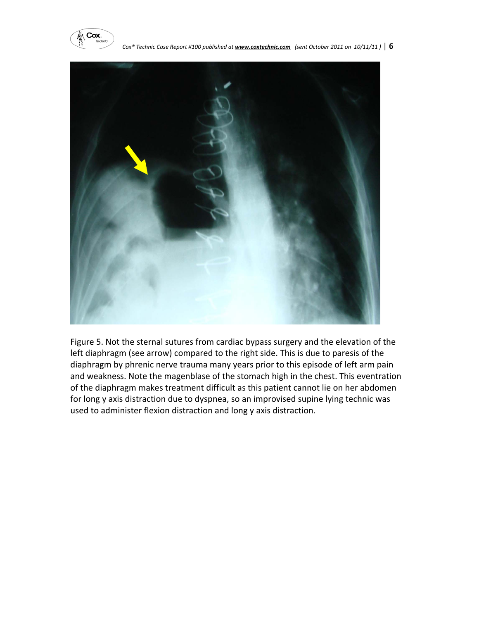



Figure 5. Not the sternal sutures from cardiac bypass surgery and the elevation of the left diaphragm (see arrow) compared to the right side. This is due to paresis of the diaphragm by phrenic nerve trauma many years prior to this episode of left arm pain and weakness. Note the magenblase of the stomach high in the chest. This eventration of the diaphragm makes treatment difficult as this patient cannot lie on her abdomen for long y axis distraction due to dyspnea, so an improvised supine lying technic was used to administer flexion distraction and long y axis distraction.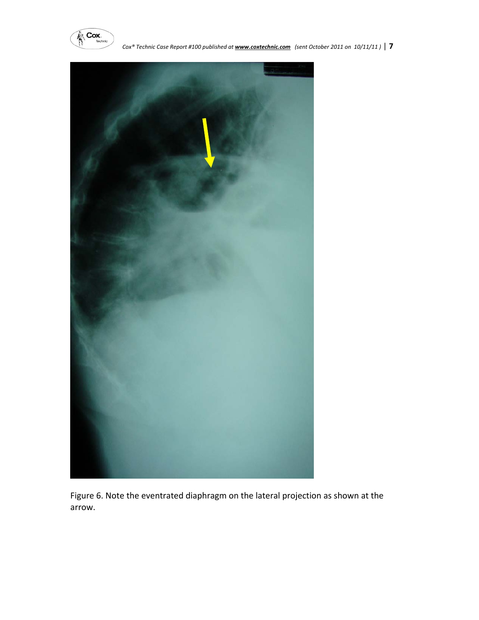



Figure 6. Note the eventrated diaphragm on the lateral projection as shown at the arrow.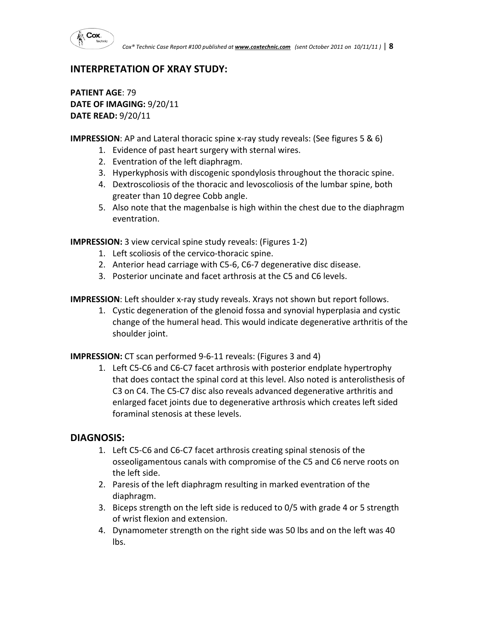

## **INTERPRETATION OF XRAY STUDY:**

**PATIENT AGE**: 79 **DATE OF IMAGING:** 9/20/11 **DATE READ:** 9/20/11

**IMPRESSION**: AP and Lateral thoracic spine x-ray study reveals: (See figures 5 & 6)

- 1. Evidence of past heart surgery with sternal wires.
- 2. Eventration of the left diaphragm.
- 3. Hyperkyphosis with discogenic spondylosis throughout the thoracic spine.
- 4. Dextroscoliosis of the thoracic and levoscoliosis of the lumbar spine, both greater than 10 degree Cobb angle.
- 5. Also note that the magenbalse is high within the chest due to the diaphragm eventration.

**IMPRESSION:** 3 view cervical spine study reveals: (Figures 1‐2)

- 1. Left scoliosis of the cervico-thoracic spine.
- 2. Anterior head carriage with C5‐6, C6‐7 degenerative disc disease.
- 3. Posterior uncinate and facet arthrosis at the C5 and C6 levels.

**IMPRESSION**: Left shoulder x‐ray study reveals. Xrays not shown but report follows.

1. Cystic degeneration of the glenoid fossa and synovial hyperplasia and cystic change of the humeral head. This would indicate degenerative arthritis of the shoulder joint.

**IMPRESSION:** CT scan performed 9-6-11 reveals: (Figures 3 and 4)

1. Left C5‐C6 and C6‐C7 facet arthrosis with posterior endplate hypertrophy that does contact the spinal cord at this level. Also noted is anterolisthesis of C3 on C4. The C5‐C7 disc also reveals advanced degenerative arthritis and enlarged facet joints due to degenerative arthrosis which creates left sided foraminal stenosis at these levels.

### **DIAGNOSIS:**

- 1. Left C5‐C6 and C6‐C7 facet arthrosis creating spinal stenosis of the osseoligamentous canals with compromise of the C5 and C6 nerve roots on the left side.
- 2. Paresis of the left diaphragm resulting in marked eventration of the diaphragm.
- 3. Biceps strength on the left side is reduced to 0/5 with grade 4 or 5 strength of wrist flexion and extension.
- 4. Dynamometer strength on the right side was 50 lbs and on the left was 40 lbs.